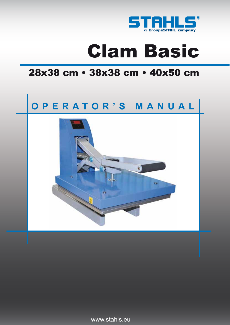

# Clam Basic

# 28x38 cm • 38x38 cm • 40x50 cm

# **OPERATOR'S MANUAL**



www.stahls.eu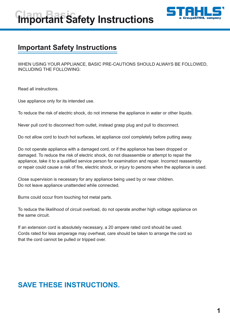



## **Important Safety Instructions**

WHEN USING YOUR APPLIANCE, BASIC PRE-CAUTIONS SHOULD ALWAYS BE FOLLOWED, INCLUDING THE FOLLOWING:

Read all instructions.

Use appliance only for its intended use.

To reduce the risk of electric shock, do not immerse the appliance in water or other liquids.

Never pull cord to disconnect from outlet, instead grasp plug and pull to disconnect.

Do not allow cord to touch hot surfaces, let appliance cool completely before putting away.

Do not operate appliance with a damaged cord, or if the appliance has been dropped or damaged. To reduce the risk of electric shock, do not disassemble or attempt to repair the appliance, take it to a qualified service person for examination and repair. Incorrect reassembly or repair could cause a risk of fire, electric shock, or injury to persons when the appliance is used.

Close supervision is necessary for any appliance being used by or near children. Do not leave appliance unattended while connected.

Burns could occur from touching hot metal parts.

To reduce the likelihood of circuit overload, do not operate another high voltage appliance on the same circuit.

If an extension cord is absolutely necessary, a 20 ampere rated cord should be used. Cords rated for less amperage may overheat, care should be taken to arrange the cord so that the cord cannot be pulled or tripped over.

## **SAVE THESE INSTRUCTIONS.**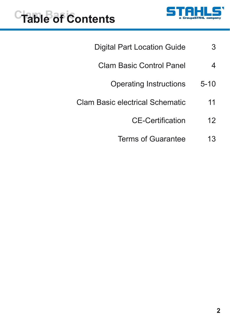

# **Table of Contents**

- 3 Digital Part Location Guide
	- 4 Clam Basic Control Panel
		- 5-10 Operating Instructions
- 11 Clam Basic electrical Schematic
	- 12 CE-Certification
	- 13 Terms of Guarantee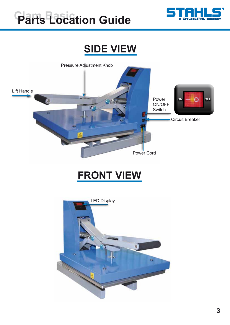

# **Parts Location Guide**

# **SIDE VIEW**



# **FRONT VIEW**

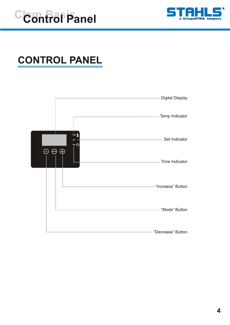



# **CONTROL PANEL**

|                         |                                                                    | <b>Digital Display</b> |
|-------------------------|--------------------------------------------------------------------|------------------------|
|                         |                                                                    | Temp Indicator         |
| $\bigodot$<br>$\ominus$ | TEMP <sup>0</sup><br><b>SET</b><br>TIME $\bigoplus$<br>$\bigoplus$ | Set Indicator          |
|                         |                                                                    | Time Indicator         |
|                         |                                                                    | "Increase" Button      |
|                         |                                                                    | "Mode" Button          |
|                         |                                                                    | "Decrease" Button      |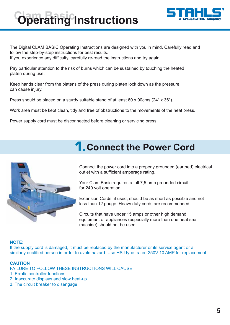# **Operating Instructions**



The Digital CLAM BASIC Operating Instructions are designed with you in mind. Carefully read and follow the step-by-step instructions for best results. If you experience any difficulty, carefully re-read the instructions and try again.

Pay particular attention to the risk of burns which can be sustained by touching the heated platen during use.

Keep hands clear from the platens of the press during platen lock down as the pressure can cause injury.

Press should be placed on a sturdy suitable stand of at least 60 x 90cms (24" x 36").

Work area must be kept clean, tidy and free of obstructions to the movements of the heat press.

Power supply cord must be disconnected before cleaning or servicing press.

## **1. Connect the Power Cord**



Connect the power cord into a properly grounded (earthed) electrical outlet with a sufficient amperage rating.

Your Clam Basic requires a full 7,5 amp grounded circuit for 240 volt operation.

Extension Cords, if used, should be as short as possible and not less than 12 gauge. Heavy duty cords are recommended.

Circuits that have under 15 amps or other high demand equipment or appliances (especially more than one heat seal machine) should not be used.

## **NOTE:**

If the supply cord is damaged, it must be replaced by the manufacturer or its service agent or a similarly qualified person in order to avold hazard. Use HSJ type, rated 250V-10 AMP for replacement.

## **CAUTION**

FAILURE TO FOLLOW THESE INSTRUCTIONS WILL CAUSE:

- 1. Erratic controller functions.
- 2. Inaccurate displays and slow heat-up.
- 3. The circuit breaker to disengage.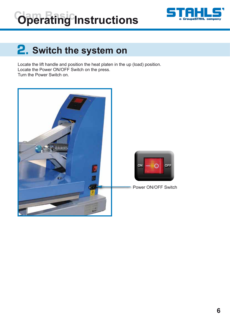# **Operating Instructions**



# **2.** Switch the system on

Locate the lift handle and position the heat platen in the up (load) position. Locate the Power ON/OFF Switch on the press. Turn the Power Switch on.

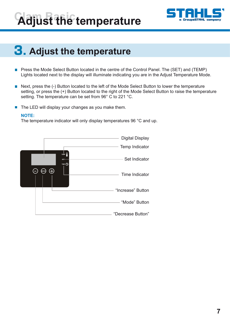# **Adjust the temperature**



# **3. Adjust the temperature**

- Press the Mode Select Button located in the centre of the Control Panel. The (SET) and (TEMP)  $\mathcal{L}^{\text{max}}$ Lights located next to the display will illuminate indicating you are in the Adjust Temperature Mode.
- Next, press the (-) Button located to the left of the Mode Select Button to lower the temperature  $\Box$ setting, or press the (+) Button located to the right of the Mode Select Button to raise the temperature setting. The temperature can be set from 96° C to 221 °C.
- $\blacksquare$  The LED will display your changes as you make them.

#### **NOTE:**

The temperature indicator will only display temperatures 96 °C and up.

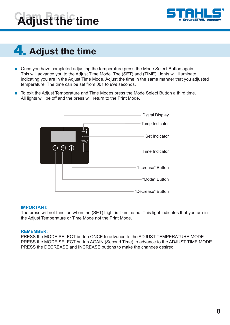



# **4. Adjust the time**

- Once you have completed adjusting the temperature press the Mode Select Button again. This will advance you to the Adjust Time Mode. The (SET) and (TIME) Lights will illuminate, indicating you are in the Adjust Time Mode. Adjust the time in the same manner that you adjusted temperature. The time can be set from 001 to 999 seconds.
- To exit the Adjust Temperature and Time Modes press the Mode Select Button a third time. All lights will be off and the press will return to the Print Mode.



#### **IMPORTANT:**

The press will not function when the (SET) Light is illuminated. This light indicates that you are in the Adjust Temperature or Time Mode not the Print Mode.

#### **REMEMBER:**

PRESS the MODE SELECT button ONCE to advance to the ADJUST TEMPERATURE MODE. PRESS the MODE SELECT button AGAIN (Second Time) to advance to the ADJUST TIME MODE. PRESS the DECREASE and INCREASE buttons to make the changes desired.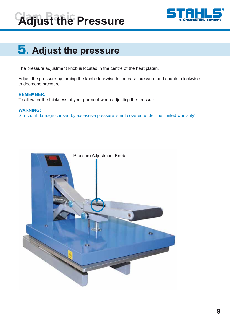# **Adjust the Pressure**



# **5. Adjust the pressure**

The pressure adjustment knob is located in the centre of the heat platen.

Adjust the pressure by turning the knob clockwise to increase pressure and counter clockwise to decrease pressure.

#### **REMEMBER:**

To allow for the thickness of your garment when adjusting the pressure.

#### **WARNING:**

Structural damage caused by excessive pressure is not covered under the limited warranty!

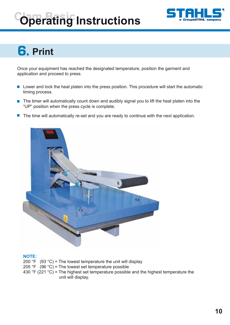# **Operating Instructions**



# **6.** Print

Once your equipment has reached the designated temperature, position the garment and application and proceed to press.

- Lower and lock the heat platen into the press position. This procedure will start the automatic  $\mathbb{R}^3$ timing process.
- $\mathcal{C}^{\mathcal{A}}$ The timer will automatically count down and audibly signal you to lift the heat platen into the "UP" position when the press cycle is complete.
- The time will automatically re-set and you are ready to continue with the next application.  $\mathbb{R}^2$



#### **NOTE:**

200 °F (93 °C) = The lowest temperature the unit will display 205 °F (96 °C) = The lowest set temperature possible 430  $\degree$ F (221  $\degree$ C) = The highest set temperature possible and the highest temperature the unit will display.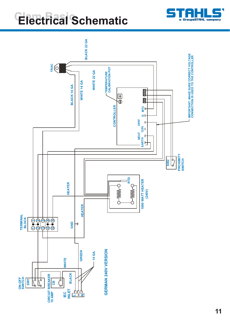# **Electrical Schematic**



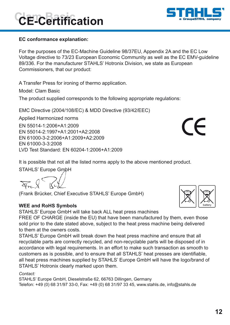## **EC conformance explanation:**

**Clam Basic CE-Certification**

For the purposes of the EC-Machine Guideline 98/37EU, Appendix 2A and the EC Low Voltage directive to 73/23 European Economic Community as well as the EC EMV-guideline 89/336. For the manufacturer STAHLS' Hotronix Division, we state as European Commissioners, that our product:

A Transfer Press for ironing of thermo application.

Model: Clam Basic

The product supplied corresponds to the following appropriate regulations:

EMC Directive (2004/108/EC) & MDD Directive (93/42/EEC)

Applied Harmonized norms

EN 55014-1:2006+A1:2009 EN 55014-2:1997+A1:2001+A2:2008 EN 61000-3-2:2006+A1:2009+A2:2009 EN 61000-3-3:2008 LVD Test Standard: EN 60204-1:2006+A1:2009

It is possible that not all the listed norms apply to the above mentioned product.

STAHLS' Europe GmbH

(Frank Brücker, Chief Executive STAHLS' Europe GmbH)

## **WEE and RoHS Symbols**

STAHLS' Europe GmbH will take back ALL heat press machines

FREE OF CHARGE (inside the EU) that have been manufactured by them, even those sold prior to the date stated above, subject to the heat press machine being delivered to them at the owners costs.

STAHLS' Europe GmbH will break down the heat press machine and ensure that all recyclable parts are correctly recycled, and non-recyclable parts will be disposed of in accordance with legal requirements. In an effort to make such transaction as smooth to customers as is possible, and to ensure that all STAHLS' heat presses are identifiable, all heat press machines supplied by STAHLS' Europe GmbH will have the logo/brand of STAHLS' Hotronix clearly marked upon them.

*Contact:*

STAHLS' Europe GmbH, Dieselstraße 62, 66763 Dillingen, Germany Telefon: +49 (0) 68 31/97 33-0, Fax: +49 (0) 68 31/97 33 45, www.stahls.de, info@stahls.de



battery